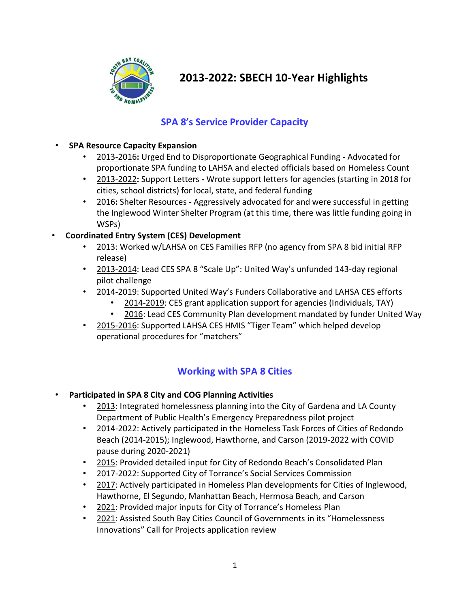

# **2013-2022: SBECH 10-Year Highlights**

## **SPA 8's Service Provider Capacity**

#### • **SPA Resource Capacity Expansion**

- 2013-2016**:** Urged End to Disproportionate Geographical Funding **-** Advocated for proportionate SPA funding to LAHSA and elected officials based on Homeless Count
- 2013-2022**:** Support Letters **-** Wrote support letters for agencies (starting in 2018 for cities, school districts) for local, state, and federal funding
- 2016**:** Shelter Resources Aggressively advocated for and were successful in getting the Inglewood Winter Shelter Program (at this time, there was little funding going in WSPs)

### • **Coordinated Entry System (CES) Development**

- 2013: Worked w/LAHSA on CES Families RFP (no agency from SPA 8 bid initial RFP release)
- 2013-2014: Lead CES SPA 8 "Scale Up": United Way's unfunded 143-day regional pilot challenge
- 2014-2019: Supported United Way's Funders Collaborative and LAHSA CES efforts
	- 2014-2019: CES grant application support for agencies (Individuals, TAY)
	- 2016: Lead CES Community Plan development mandated by funder United Way
- 2015-2016: Supported LAHSA CES HMIS "Tiger Team" which helped develop operational procedures for "matchers"

### **Working with SPA 8 Cities**

- **Participated in SPA 8 City and COG Planning Activities**
	- 2013: Integrated homelessness planning into the City of Gardena and LA County Department of Public Health's Emergency Preparedness pilot project
	- 2014-2022: Actively participated in the Homeless Task Forces of Cities of Redondo Beach (2014-2015); Inglewood, Hawthorne, and Carson (2019-2022 with COVID pause during 2020-2021)
	- 2015: Provided detailed input for City of Redondo Beach's Consolidated Plan
	- 2017-2022: Supported City of Torrance's Social Services Commission
	- 2017: Actively participated in Homeless Plan developments for Cities of Inglewood, Hawthorne, El Segundo, Manhattan Beach, Hermosa Beach, and Carson
	- 2021: Provided major inputs for City of Torrance's Homeless Plan
	- 2021: Assisted South Bay Cities Council of Governments in its "Homelessness Innovations" Call for Projects application review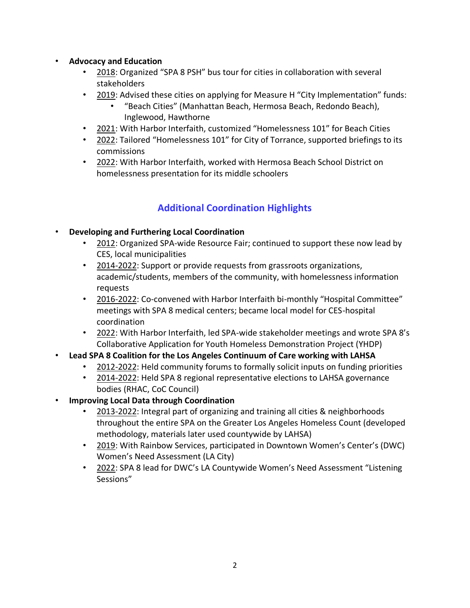#### • **Advocacy and Education**

- 2018: Organized "SPA 8 PSH" bus tour for cities in collaboration with several stakeholders
- 2019: Advised these cities on applying for Measure H "City Implementation" funds:
	- "Beach Cities" (Manhattan Beach, Hermosa Beach, Redondo Beach), Inglewood, Hawthorne
- 2021: With Harbor Interfaith, customized "Homelessness 101" for Beach Cities
- 2022: Tailored "Homelessness 101" for City of Torrance, supported briefings to its commissions
- 2022: With Harbor Interfaith, worked with Hermosa Beach School District on homelessness presentation for its middle schoolers

# **Additional Coordination Highlights**

### • **Developing and Furthering Local Coordination**

- 2012: Organized SPA-wide Resource Fair; continued to support these now lead by CES, local municipalities
- 2014-2022: Support or provide requests from grassroots organizations, academic/students, members of the community, with homelessness information requests
- 2016-2022: Co-convened with Harbor Interfaith bi-monthly "Hospital Committee" meetings with SPA 8 medical centers; became local model for CES-hospital coordination
- 2022: With Harbor Interfaith, led SPA-wide stakeholder meetings and wrote SPA 8's Collaborative Application for Youth Homeless Demonstration Project (YHDP)
- **Lead SPA 8 Coalition for the Los Angeles Continuum of Care working with LAHSA** 
	- 2012-2022: Held community forums to formally solicit inputs on funding priorities
	- 2014-2022: Held SPA 8 regional representative elections to LAHSA governance bodies (RHAC, CoC Council)
- **Improving Local Data through Coordination**
	- 2013-2022: Integral part of organizing and training all cities & neighborhoods throughout the entire SPA on the Greater Los Angeles Homeless Count (developed methodology, materials later used countywide by LAHSA)
	- 2019: With Rainbow Services, participated in Downtown Women's Center's (DWC) Women's Need Assessment (LA City)
	- 2022: SPA 8 lead for DWC's LA Countywide Women's Need Assessment "Listening Sessions"